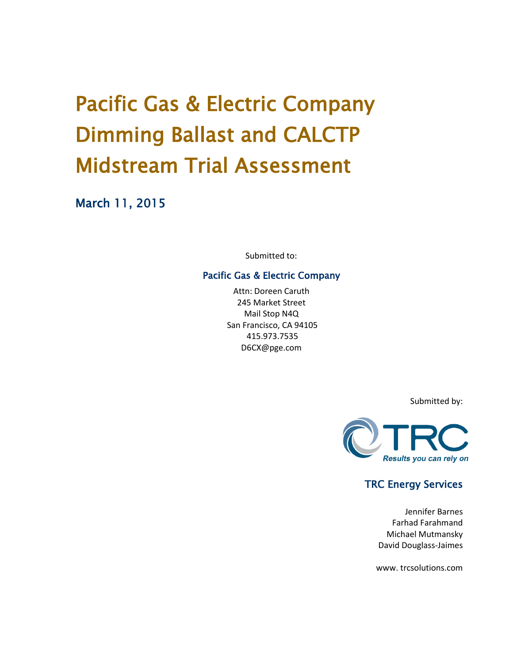# Pacific Gas & Electric Company Dimming Ballast and CALCTP Midstream Trial Assessment

March 11, 2015

Submitted to:

#### Pacific Gas & Electric Company

Attn: Doreen Caruth 245 Market Street Mail Stop N4Q San Francisco, CA 94105 415.973.7535 D6CX@pge.com

Submitted by:



# TRC Energy Services

Jennifer Barnes Farhad Farahmand Michael Mutmansky David Douglass-Jaimes

www. trcsolutions.com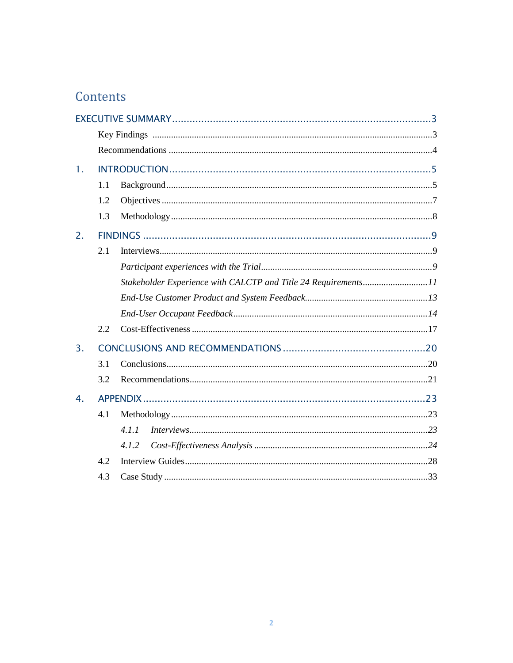# Contents

| 1. |     |                                                                |  |
|----|-----|----------------------------------------------------------------|--|
|    | 1.1 |                                                                |  |
|    | 1.2 |                                                                |  |
|    | 1.3 |                                                                |  |
| 2. |     |                                                                |  |
|    | 2.1 |                                                                |  |
|    |     |                                                                |  |
|    |     | Stakeholder Experience with CALCTP and Title 24 Requirements11 |  |
|    |     |                                                                |  |
|    |     |                                                                |  |
|    | 2.2 |                                                                |  |
| 3. |     |                                                                |  |
|    | 3.1 |                                                                |  |
|    | 3.2 |                                                                |  |
| 4. |     |                                                                |  |
|    | 4.1 |                                                                |  |
|    |     | 4.1.1                                                          |  |
|    |     | 4.1.2                                                          |  |
|    | 4.2 |                                                                |  |
|    | 4.3 |                                                                |  |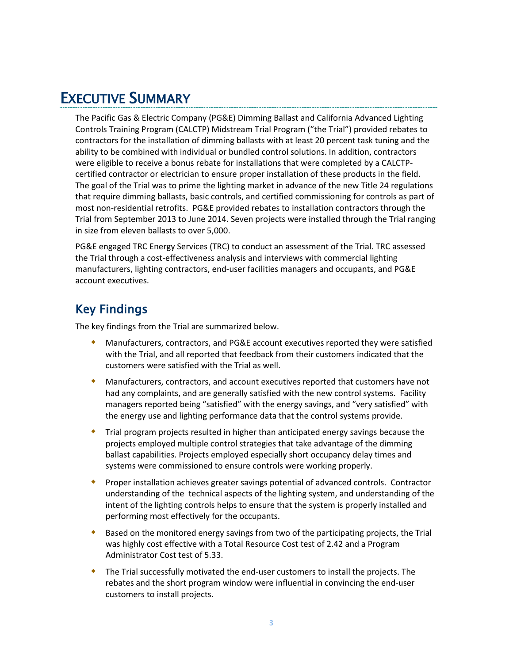# <span id="page-2-0"></span>EXECUTIVE SUMMARY

The Pacific Gas & Electric Company (PG&E) Dimming Ballast and California Advanced Lighting Controls Training Program (CALCTP) Midstream Trial Program ("the Trial") provided rebates to contractors for the installation of dimming ballasts with at least 20 percent task tuning and the ability to be combined with individual or bundled control solutions. In addition, contractors were eligible to receive a bonus rebate for installations that were completed by a CALCTPcertified contractor or electrician to ensure proper installation of these products in the field. The goal of the Trial was to prime the lighting market in advance of the new Title 24 regulations that require dimming ballasts, basic controls, and certified commissioning for controls as part of most non-residential retrofits. PG&E provided rebates to installation contractors through the Trial from September 2013 to June 2014. Seven projects were installed through the Trial ranging in size from eleven ballasts to over 5,000.

PG&E engaged TRC Energy Services (TRC) to conduct an assessment of the Trial. TRC assessed the Trial through a cost-effectiveness analysis and interviews with commercial lighting manufacturers, lighting contractors, end-user facilities managers and occupants, and PG&E account executives.

# <span id="page-2-1"></span>Key Findings

The key findings from the Trial are summarized below.

- Manufacturers, contractors, and PG&E account executives reported they were satisfied with the Trial, and all reported that feedback from their customers indicated that the customers were satisfied with the Trial as well.
- Manufacturers, contractors, and account executives reported that customers have not had any complaints, and are generally satisfied with the new control systems. Facility managers reported being "satisfied" with the energy savings, and "very satisfied" with the energy use and lighting performance data that the control systems provide.
- Trial program projects resulted in higher than anticipated energy savings because the projects employed multiple control strategies that take advantage of the dimming ballast capabilities. Projects employed especially short occupancy delay times and systems were commissioned to ensure controls were working properly.
- Proper installation achieves greater savings potential of advanced controls. Contractor understanding of the technical aspects of the lighting system, and understanding of the intent of the lighting controls helps to ensure that the system is properly installed and performing most effectively for the occupants.
- Based on the monitored energy savings from two of the participating projects, the Trial was highly cost effective with a Total Resource Cost test of 2.42 and a Program Administrator Cost test of 5.33.
- The Trial successfully motivated the end-user customers to install the projects. The rebates and the short program window were influential in convincing the end-user customers to install projects.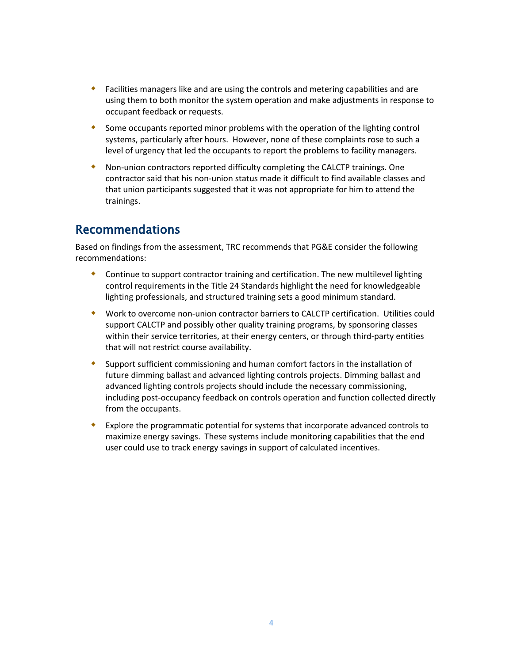- Facilities managers like and are using the controls and metering capabilities and are using them to both monitor the system operation and make adjustments in response to occupant feedback or requests.
- Some occupants reported minor problems with the operation of the lighting control systems, particularly after hours. However, none of these complaints rose to such a level of urgency that led the occupants to report the problems to facility managers.
- Non-union contractors reported difficulty completing the CALCTP trainings. One contractor said that his non-union status made it difficult to find available classes and that union participants suggested that it was not appropriate for him to attend the trainings.

# <span id="page-3-0"></span>Recommendations

Based on findings from the assessment, TRC recommends that PG&E consider the following recommendations:

- Continue to support contractor training and certification. The new multilevel lighting control requirements in the Title 24 Standards highlight the need for knowledgeable lighting professionals, and structured training sets a good minimum standard.
- Work to overcome non-union contractor barriers to CALCTP certification. Utilities could support CALCTP and possibly other quality training programs, by sponsoring classes within their service territories, at their energy centers, or through third-party entities that will not restrict course availability.
- Support sufficient commissioning and human comfort factors in the installation of future dimming ballast and advanced lighting controls projects. Dimming ballast and advanced lighting controls projects should include the necessary commissioning, including post-occupancy feedback on controls operation and function collected directly from the occupants.
- Explore the programmatic potential for systems that incorporate advanced controls to maximize energy savings. These systems include monitoring capabilities that the end user could use to track energy savings in support of calculated incentives.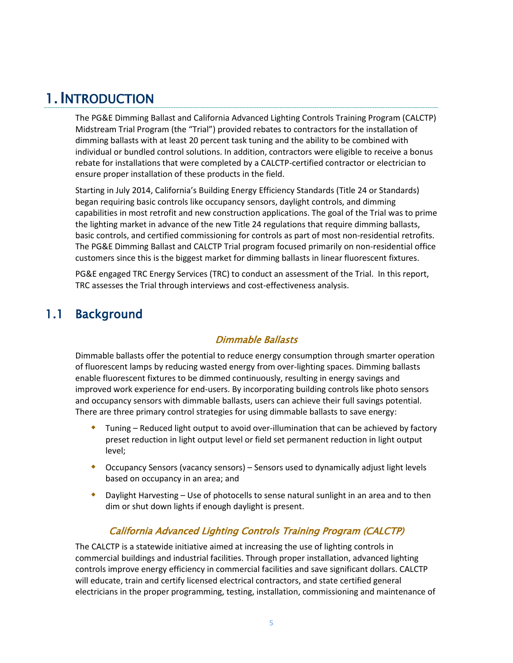# <span id="page-4-0"></span>1. INTRODUCTION

The PG&E Dimming Ballast and California Advanced Lighting Controls Training Program (CALCTP) Midstream Trial Program (the "Trial") provided rebates to contractors for the installation of dimming ballasts with at least 20 percent task tuning and the ability to be combined with individual or bundled control solutions. In addition, contractors were eligible to receive a bonus rebate for installations that were completed by a CALCTP-certified contractor or electrician to ensure proper installation of these products in the field.

Starting in July 2014, California's Building Energy Efficiency Standards (Title 24 or Standards) began requiring basic controls like occupancy sensors, daylight controls, and dimming capabilities in most retrofit and new construction applications. The goal of the Trial was to prime the lighting market in advance of the new Title 24 regulations that require dimming ballasts, basic controls, and certified commissioning for controls as part of most non-residential retrofits. The PG&E Dimming Ballast and CALCTP Trial program focused primarily on non-residential office customers since this is the biggest market for dimming ballasts in linear fluorescent fixtures.

<span id="page-4-1"></span>PG&E engaged TRC Energy Services (TRC) to conduct an assessment of the Trial. In this report, TRC assesses the Trial through interviews and cost-effectiveness analysis.

# 1.1 Background

# Dimmable Ballasts

Dimmable ballasts offer the potential to reduce energy consumption through smarter operation of fluorescent lamps by reducing wasted energy from over-lighting spaces. Dimming ballasts enable fluorescent fixtures to be dimmed continuously, resulting in energy savings and improved work experience for end-users. By incorporating building controls like photo sensors and occupancy sensors with dimmable ballasts, users can achieve their full savings potential. There are three primary control strategies for using dimmable ballasts to save energy:

- Tuning Reduced light output to avoid over-illumination that can be achieved by factory preset reduction in light output level or field set permanent reduction in light output level;
- Occupancy Sensors (vacancy sensors) Sensors used to dynamically adjust light levels based on occupancy in an area; and
- Daylight Harvesting Use of photocells to sense natural sunlight in an area and to then dim or shut down lights if enough daylight is present.

# California Advanced Lighting Controls Training Program (CALCTP)

The CALCTP is a statewide initiative aimed at increasing the use of lighting controls in commercial buildings and industrial facilities. Through proper installation, advanced lighting controls improve energy efficiency in commercial facilities and save significant dollars. CALCTP will educate, train and certify licensed electrical contractors, and state certified general electricians in the proper programming, testing, installation, commissioning and maintenance of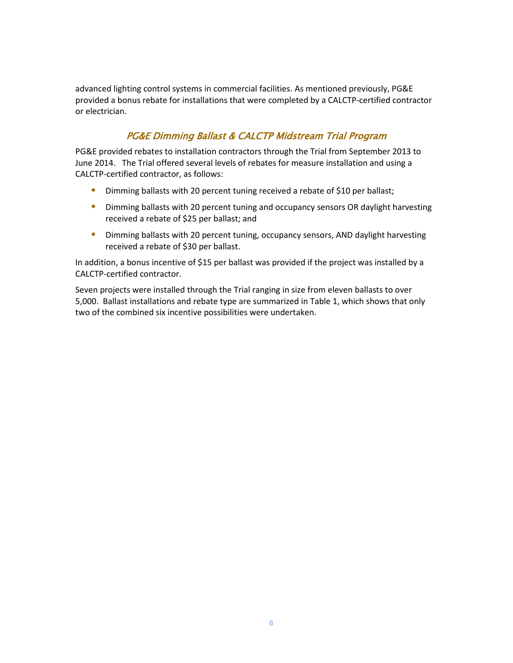advanced lighting control systems in commercial facilities. As mentioned previously, PG&E provided a bonus rebate for installations that were completed by a CALCTP-certified contractor or electrician.

### PG&E Dimming Ballast & CALCTP Midstream Trial Program

PG&E provided rebates to installation contractors through the Trial from September 2013 to June 2014. The Trial offered several levels of rebates for measure installation and using a CALCTP-certified contractor, as follows:

- Dimming ballasts with 20 percent tuning received a rebate of \$10 per ballast;
- Dimming ballasts with 20 percent tuning and occupancy sensors OR daylight harvesting received a rebate of \$25 per ballast; and
- Dimming ballasts with 20 percent tuning, occupancy sensors, AND daylight harvesting received a rebate of \$30 per ballast.

In addition, a bonus incentive of \$15 per ballast was provided if the project was installed by a CALCTP-certified contractor.

Seven projects were installed through the Trial ranging in size from eleven ballasts to over 5,000. Ballast installations and rebate type are summarized in [Table 1,](#page-6-1) which shows that only two of the combined six incentive possibilities were undertaken.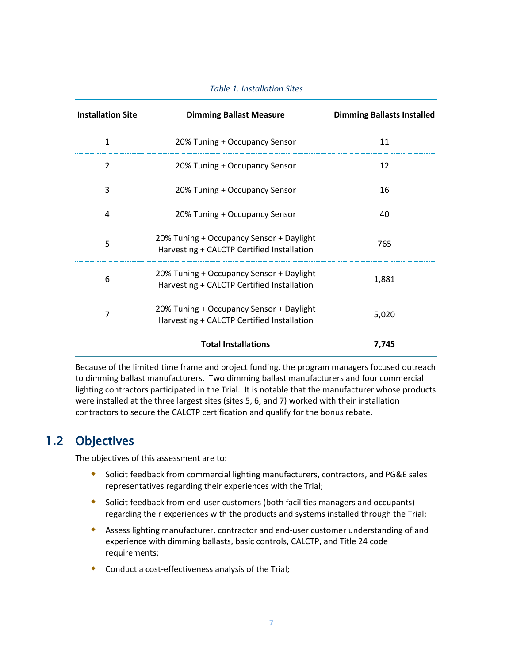|  |  | <b>Table 1. Installation Sites</b> |  |
|--|--|------------------------------------|--|
|--|--|------------------------------------|--|

<span id="page-6-1"></span>

| <b>Installation Site</b> | <b>Dimming Ballast Measure</b>                                                         | <b>Dimming Ballasts Installed</b> |
|--------------------------|----------------------------------------------------------------------------------------|-----------------------------------|
| 1                        | 20% Tuning + Occupancy Sensor                                                          | 11                                |
| $\overline{2}$           | 20% Tuning + Occupancy Sensor                                                          | 12                                |
| 3                        | 20% Tuning + Occupancy Sensor                                                          | 16                                |
| 4                        | 20% Tuning + Occupancy Sensor                                                          | 40                                |
| 5                        | 20% Tuning + Occupancy Sensor + Daylight<br>Harvesting + CALCTP Certified Installation | 765                               |
| 6                        | 20% Tuning + Occupancy Sensor + Daylight<br>Harvesting + CALCTP Certified Installation | 1,881                             |
| 7                        | 20% Tuning + Occupancy Sensor + Daylight<br>Harvesting + CALCTP Certified Installation | 5,020                             |
|                          | <b>Total Installations</b>                                                             | 7,745                             |

Because of the limited time frame and project funding, the program managers focused outreach to dimming ballast manufacturers. Two dimming ballast manufacturers and four commercial lighting contractors participated in the Trial. It is notable that the manufacturer whose products were installed at the three largest sites (sites 5, 6, and 7) worked with their installation contractors to secure the CALCTP certification and qualify for the bonus rebate.

# <span id="page-6-0"></span>1.2 Objectives

The objectives of this assessment are to:

- Solicit feedback from commercial lighting manufacturers, contractors, and PG&E sales representatives regarding their experiences with the Trial;
- Solicit feedback from end-user customers (both facilities managers and occupants) regarding their experiences with the products and systems installed through the Trial;
- Assess lighting manufacturer, contractor and end-user customer understanding of and experience with dimming ballasts, basic controls, CALCTP, and Title 24 code requirements;
- Conduct a cost-effectiveness analysis of the Trial;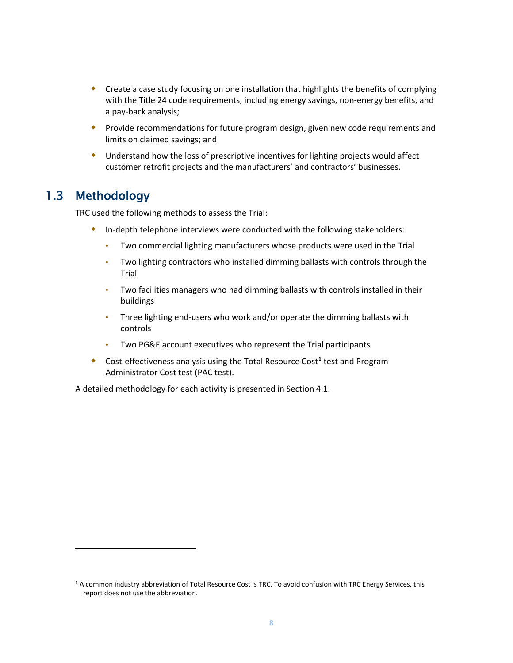- Create a case study focusing on one installation that highlights the benefits of complying with the Title 24 code requirements, including energy savings, non-energy benefits, and a pay-back analysis;
- **•** Provide recommendations for future program design, given new code requirements and limits on claimed savings; and
- Understand how the loss of prescriptive incentives for lighting projects would affect customer retrofit projects and the manufacturers' and contractors' businesses.

# <span id="page-7-0"></span>1.3 Methodology

l

TRC used the following methods to assess the Trial:

- In-depth telephone interviews were conducted with the following stakeholders:
	- Two commercial lighting manufacturers whose products were used in the Trial
	- Two lighting contractors who installed dimming ballasts with controls through the Trial
	- Two facilities managers who had dimming ballasts with controls installed in their buildings
	- Three lighting end-users who work and/or operate the dimming ballasts with controls
	- Two PG&E account executives who represent the Trial participants
- Cost-effectiveness analysis using the Total Resource Cost**[1](#page-7-1)** test and Program Administrator Cost test (PAC test).

A detailed methodology for each activity is presented in Sectio[n 4.1.](#page-22-1)

<span id="page-7-1"></span>**<sup>1</sup>** A common industry abbreviation of Total Resource Cost is TRC. To avoid confusion with TRC Energy Services, this report does not use the abbreviation.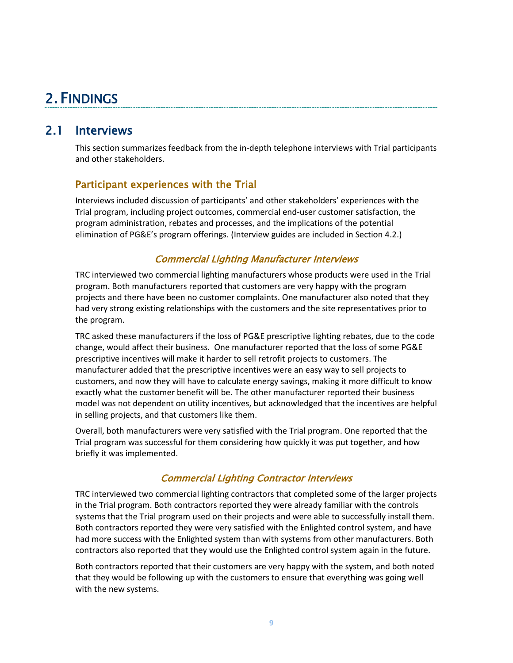# <span id="page-8-0"></span>2. FINDINGS

# <span id="page-8-1"></span>2.1 Interviews

This section summarizes feedback from the in-depth telephone interviews with Trial participants and other stakeholders.

### <span id="page-8-2"></span>Participant experiences with the Trial

Interviews included discussion of participants' and other stakeholders' experiences with the Trial program, including project outcomes, commercial end-user customer satisfaction, the program administration, rebates and processes, and the implications of the potential elimination of PG&E's program offerings. (Interview guides are included in Sectio[n 4.2.](#page-27-0))

### Commercial Lighting Manufacturer Interviews

TRC interviewed two commercial lighting manufacturers whose products were used in the Trial program. Both manufacturers reported that customers are very happy with the program projects and there have been no customer complaints. One manufacturer also noted that they had very strong existing relationships with the customers and the site representatives prior to the program.

TRC asked these manufacturers if the loss of PG&E prescriptive lighting rebates, due to the code change, would affect their business. One manufacturer reported that the loss of some PG&E prescriptive incentives will make it harder to sell retrofit projects to customers. The manufacturer added that the prescriptive incentives were an easy way to sell projects to customers, and now they will have to calculate energy savings, making it more difficult to know exactly what the customer benefit will be. The other manufacturer reported their business model was not dependent on utility incentives, but acknowledged that the incentives are helpful in selling projects, and that customers like them.

Overall, both manufacturers were very satisfied with the Trial program. One reported that the Trial program was successful for them considering how quickly it was put together, and how briefly it was implemented.

### Commercial Lighting Contractor Interviews

TRC interviewed two commercial lighting contractors that completed some of the larger projects in the Trial program. Both contractors reported they were already familiar with the controls systems that the Trial program used on their projects and were able to successfully install them. Both contractors reported they were very satisfied with the Enlighted control system, and have had more success with the Enlighted system than with systems from other manufacturers. Both contractors also reported that they would use the Enlighted control system again in the future.

Both contractors reported that their customers are very happy with the system, and both noted that they would be following up with the customers to ensure that everything was going well with the new systems.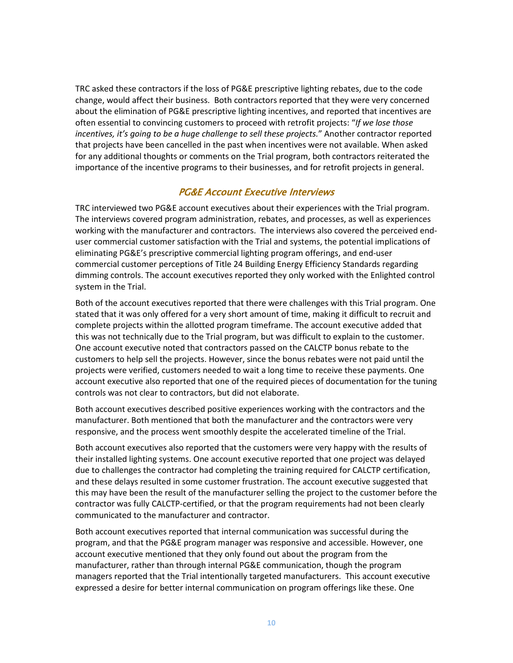TRC asked these contractors if the loss of PG&E prescriptive lighting rebates, due to the code change, would affect their business. Both contractors reported that they were very concerned about the elimination of PG&E prescriptive lighting incentives, and reported that incentives are often essential to convincing customers to proceed with retrofit projects: "*If we lose those incentives, it's going to be a huge challenge to sell these projects.*" Another contractor reported that projects have been cancelled in the past when incentives were not available. When asked for any additional thoughts or comments on the Trial program, both contractors reiterated the importance of the incentive programs to their businesses, and for retrofit projects in general.

#### PG&E Account Executive Interviews

TRC interviewed two PG&E account executives about their experiences with the Trial program. The interviews covered program administration, rebates, and processes, as well as experiences working with the manufacturer and contractors. The interviews also covered the perceived enduser commercial customer satisfaction with the Trial and systems, the potential implications of eliminating PG&E's prescriptive commercial lighting program offerings, and end-user commercial customer perceptions of Title 24 Building Energy Efficiency Standards regarding dimming controls. The account executives reported they only worked with the Enlighted control system in the Trial.

Both of the account executives reported that there were challenges with this Trial program. One stated that it was only offered for a very short amount of time, making it difficult to recruit and complete projects within the allotted program timeframe. The account executive added that this was not technically due to the Trial program, but was difficult to explain to the customer. One account executive noted that contractors passed on the CALCTP bonus rebate to the customers to help sell the projects. However, since the bonus rebates were not paid until the projects were verified, customers needed to wait a long time to receive these payments. One account executive also reported that one of the required pieces of documentation for the tuning controls was not clear to contractors, but did not elaborate.

Both account executives described positive experiences working with the contractors and the manufacturer. Both mentioned that both the manufacturer and the contractors were very responsive, and the process went smoothly despite the accelerated timeline of the Trial.

Both account executives also reported that the customers were very happy with the results of their installed lighting systems. One account executive reported that one project was delayed due to challenges the contractor had completing the training required for CALCTP certification, and these delays resulted in some customer frustration. The account executive suggested that this may have been the result of the manufacturer selling the project to the customer before the contractor was fully CALCTP-certified, or that the program requirements had not been clearly communicated to the manufacturer and contractor.

Both account executives reported that internal communication was successful during the program, and that the PG&E program manager was responsive and accessible. However, one account executive mentioned that they only found out about the program from the manufacturer, rather than through internal PG&E communication, though the program managers reported that the Trial intentionally targeted manufacturers. This account executive expressed a desire for better internal communication on program offerings like these. One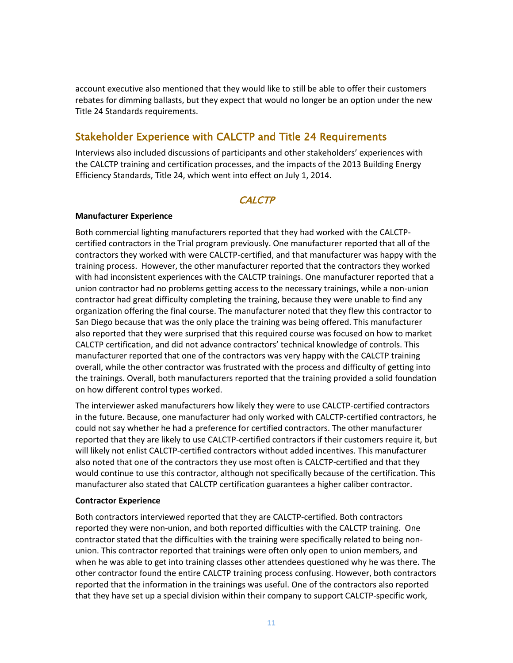account executive also mentioned that they would like to still be able to offer their customers rebates for dimming ballasts, but they expect that would no longer be an option under the new Title 24 Standards requirements.

# <span id="page-10-0"></span>Stakeholder Experience with CALCTP and Title 24 Requirements

Interviews also included discussions of participants and other stakeholders' experiences with the CALCTP training and certification processes, and the impacts of the 2013 Building Energy Efficiency Standards, Title 24, which went into effect on July 1, 2014.

#### **CALCTP**

#### **Manufacturer Experience**

Both commercial lighting manufacturers reported that they had worked with the CALCTPcertified contractors in the Trial program previously. One manufacturer reported that all of the contractors they worked with were CALCTP-certified, and that manufacturer was happy with the training process. However, the other manufacturer reported that the contractors they worked with had inconsistent experiences with the CALCTP trainings. One manufacturer reported that a union contractor had no problems getting access to the necessary trainings, while a non-union contractor had great difficulty completing the training, because they were unable to find any organization offering the final course. The manufacturer noted that they flew this contractor to San Diego because that was the only place the training was being offered. This manufacturer also reported that they were surprised that this required course was focused on how to market CALCTP certification, and did not advance contractors' technical knowledge of controls. This manufacturer reported that one of the contractors was very happy with the CALCTP training overall, while the other contractor was frustrated with the process and difficulty of getting into the trainings. Overall, both manufacturers reported that the training provided a solid foundation on how different control types worked.

The interviewer asked manufacturers how likely they were to use CALCTP-certified contractors in the future. Because, one manufacturer had only worked with CALCTP-certified contractors, he could not say whether he had a preference for certified contractors. The other manufacturer reported that they are likely to use CALCTP-certified contractors if their customers require it, but will likely not enlist CALCTP-certified contractors without added incentives. This manufacturer also noted that one of the contractors they use most often is CALCTP-certified and that they would continue to use this contractor, although not specifically because of the certification. This manufacturer also stated that CALCTP certification guarantees a higher caliber contractor.

#### **Contractor Experience**

Both contractors interviewed reported that they are CALCTP-certified. Both contractors reported they were non-union, and both reported difficulties with the CALCTP training. One contractor stated that the difficulties with the training were specifically related to being nonunion. This contractor reported that trainings were often only open to union members, and when he was able to get into training classes other attendees questioned why he was there. The other contractor found the entire CALCTP training process confusing. However, both contractors reported that the information in the trainings was useful. One of the contractors also reported that they have set up a special division within their company to support CALCTP-specific work,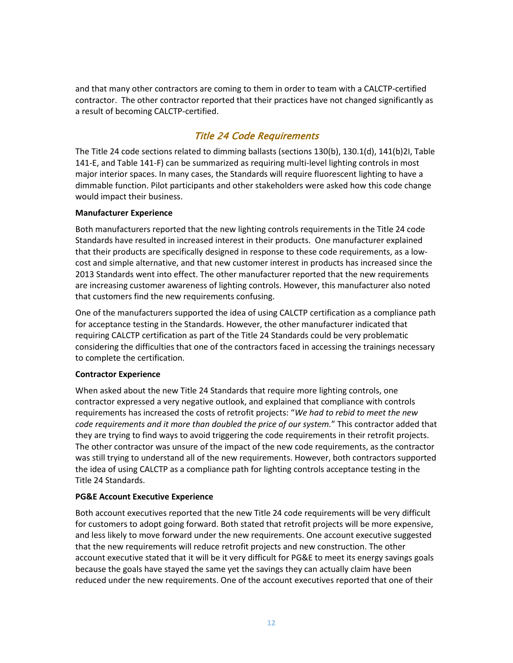and that many other contractors are coming to them in order to team with a CALCTP-certified contractor. The other contractor reported that their practices have not changed significantly as a result of becoming CALCTP-certified.

### Title 24 Code Requirements

The Title 24 code sections related to dimming ballasts (sections 130(b), 130.1(d), 141(b)2I, Table 141-E, and Table 141-F) can be summarized as requiring multi-level lighting controls in most major interior spaces. In many cases, the Standards will require fluorescent lighting to have a dimmable function. Pilot participants and other stakeholders were asked how this code change would impact their business.

#### **Manufacturer Experience**

Both manufacturers reported that the new lighting controls requirements in the Title 24 code Standards have resulted in increased interest in their products. One manufacturer explained that their products are specifically designed in response to these code requirements, as a lowcost and simple alternative, and that new customer interest in products has increased since the 2013 Standards went into effect. The other manufacturer reported that the new requirements are increasing customer awareness of lighting controls. However, this manufacturer also noted that customers find the new requirements confusing.

One of the manufacturers supported the idea of using CALCTP certification as a compliance path for acceptance testing in the Standards. However, the other manufacturer indicated that requiring CALCTP certification as part of the Title 24 Standards could be very problematic considering the difficulties that one of the contractors faced in accessing the trainings necessary to complete the certification.

#### **Contractor Experience**

When asked about the new Title 24 Standards that require more lighting controls, one contractor expressed a very negative outlook, and explained that compliance with controls requirements has increased the costs of retrofit projects: "*We had to rebid to meet the new code requirements and it more than doubled the price of our system.*" This contractor added that they are trying to find ways to avoid triggering the code requirements in their retrofit projects. The other contractor was unsure of the impact of the new code requirements, as the contractor was still trying to understand all of the new requirements. However, both contractors supported the idea of using CALCTP as a compliance path for lighting controls acceptance testing in the Title 24 Standards.

#### **PG&E Account Executive Experience**

Both account executives reported that the new Title 24 code requirements will be very difficult for customers to adopt going forward. Both stated that retrofit projects will be more expensive, and less likely to move forward under the new requirements. One account executive suggested that the new requirements will reduce retrofit projects and new construction. The other account executive stated that it will be it very difficult for PG&E to meet its energy savings goals because the goals have stayed the same yet the savings they can actually claim have been reduced under the new requirements. One of the account executives reported that one of their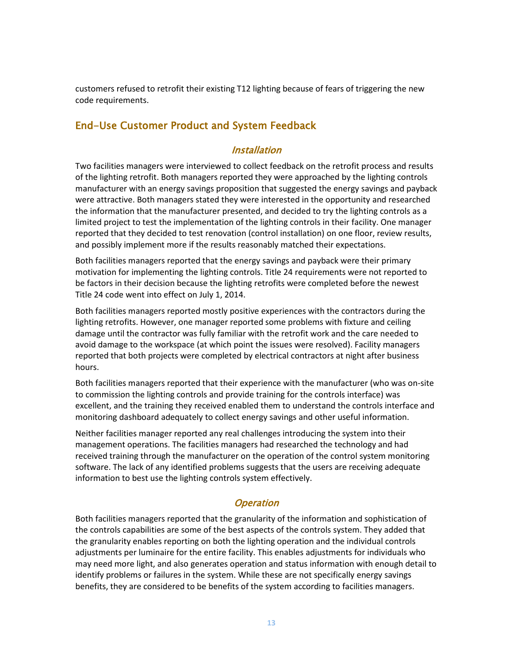customers refused to retrofit their existing T12 lighting because of fears of triggering the new code requirements.

# <span id="page-12-0"></span>End-Use Customer Product and System Feedback

### Installation

Two facilities managers were interviewed to collect feedback on the retrofit process and results of the lighting retrofit. Both managers reported they were approached by the lighting controls manufacturer with an energy savings proposition that suggested the energy savings and payback were attractive. Both managers stated they were interested in the opportunity and researched the information that the manufacturer presented, and decided to try the lighting controls as a limited project to test the implementation of the lighting controls in their facility. One manager reported that they decided to test renovation (control installation) on one floor, review results, and possibly implement more if the results reasonably matched their expectations.

Both facilities managers reported that the energy savings and payback were their primary motivation for implementing the lighting controls. Title 24 requirements were not reported to be factors in their decision because the lighting retrofits were completed before the newest Title 24 code went into effect on July 1, 2014.

Both facilities managers reported mostly positive experiences with the contractors during the lighting retrofits. However, one manager reported some problems with fixture and ceiling damage until the contractor was fully familiar with the retrofit work and the care needed to avoid damage to the workspace (at which point the issues were resolved). Facility managers reported that both projects were completed by electrical contractors at night after business hours.

Both facilities managers reported that their experience with the manufacturer (who was on-site to commission the lighting controls and provide training for the controls interface) was excellent, and the training they received enabled them to understand the controls interface and monitoring dashboard adequately to collect energy savings and other useful information.

Neither facilities manager reported any real challenges introducing the system into their management operations. The facilities managers had researched the technology and had received training through the manufacturer on the operation of the control system monitoring software. The lack of any identified problems suggests that the users are receiving adequate information to best use the lighting controls system effectively.

### **Operation**

Both facilities managers reported that the granularity of the information and sophistication of the controls capabilities are some of the best aspects of the controls system. They added that the granularity enables reporting on both the lighting operation and the individual controls adjustments per luminaire for the entire facility. This enables adjustments for individuals who may need more light, and also generates operation and status information with enough detail to identify problems or failures in the system. While these are not specifically energy savings benefits, they are considered to be benefits of the system according to facilities managers.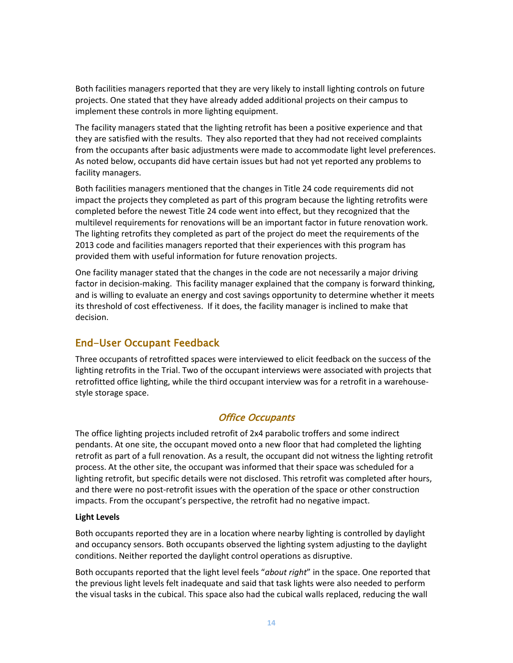Both facilities managers reported that they are very likely to install lighting controls on future projects. One stated that they have already added additional projects on their campus to implement these controls in more lighting equipment.

The facility managers stated that the lighting retrofit has been a positive experience and that they are satisfied with the results. They also reported that they had not received complaints from the occupants after basic adjustments were made to accommodate light level preferences. As noted below, occupants did have certain issues but had not yet reported any problems to facility managers.

Both facilities managers mentioned that the changes in Title 24 code requirements did not impact the projects they completed as part of this program because the lighting retrofits were completed before the newest Title 24 code went into effect, but they recognized that the multilevel requirements for renovations will be an important factor in future renovation work. The lighting retrofits they completed as part of the project do meet the requirements of the 2013 code and facilities managers reported that their experiences with this program has provided them with useful information for future renovation projects.

One facility manager stated that the changes in the code are not necessarily a major driving factor in decision-making. This facility manager explained that the company is forward thinking, and is willing to evaluate an energy and cost savings opportunity to determine whether it meets its threshold of cost effectiveness. If it does, the facility manager is inclined to make that decision.

# <span id="page-13-0"></span>End-User Occupant Feedback

Three occupants of retrofitted spaces were interviewed to elicit feedback on the success of the lighting retrofits in the Trial. Two of the occupant interviews were associated with projects that retrofitted office lighting, while the third occupant interview was for a retrofit in a warehousestyle storage space.

### Office Occupants

The office lighting projects included retrofit of 2x4 parabolic troffers and some indirect pendants. At one site, the occupant moved onto a new floor that had completed the lighting retrofit as part of a full renovation. As a result, the occupant did not witness the lighting retrofit process. At the other site, the occupant was informed that their space was scheduled for a lighting retrofit, but specific details were not disclosed. This retrofit was completed after hours, and there were no post-retrofit issues with the operation of the space or other construction impacts. From the occupant's perspective, the retrofit had no negative impact.

#### **Light Levels**

Both occupants reported they are in a location where nearby lighting is controlled by daylight and occupancy sensors. Both occupants observed the lighting system adjusting to the daylight conditions. Neither reported the daylight control operations as disruptive.

Both occupants reported that the light level feels "*about right*" in the space. One reported that the previous light levels felt inadequate and said that task lights were also needed to perform the visual tasks in the cubical. This space also had the cubical walls replaced, reducing the wall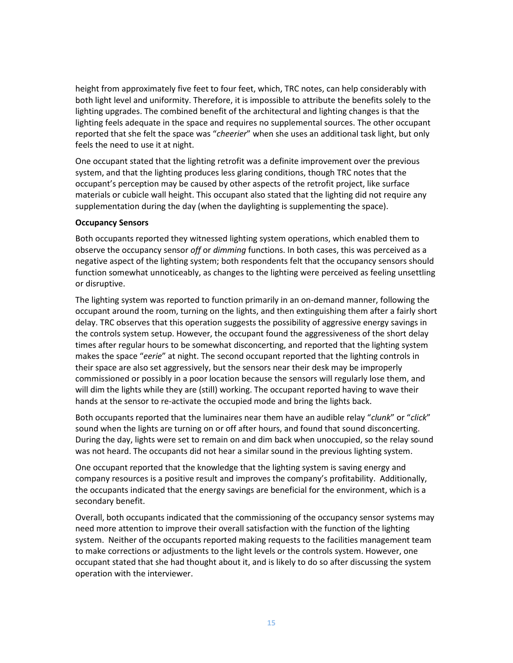height from approximately five feet to four feet, which, TRC notes, can help considerably with both light level and uniformity. Therefore, it is impossible to attribute the benefits solely to the lighting upgrades. The combined benefit of the architectural and lighting changes is that the lighting feels adequate in the space and requires no supplemental sources. The other occupant reported that she felt the space was "*cheerier*" when she uses an additional task light, but only feels the need to use it at night.

One occupant stated that the lighting retrofit was a definite improvement over the previous system, and that the lighting produces less glaring conditions, though TRC notes that the occupant's perception may be caused by other aspects of the retrofit project, like surface materials or cubicle wall height. This occupant also stated that the lighting did not require any supplementation during the day (when the daylighting is supplementing the space).

#### **Occupancy Sensors**

Both occupants reported they witnessed lighting system operations, which enabled them to observe the occupancy sensor *off* or *dimming* functions. In both cases, this was perceived as a negative aspect of the lighting system; both respondents felt that the occupancy sensors should function somewhat unnoticeably, as changes to the lighting were perceived as feeling unsettling or disruptive.

The lighting system was reported to function primarily in an on-demand manner, following the occupant around the room, turning on the lights, and then extinguishing them after a fairly short delay. TRC observes that this operation suggests the possibility of aggressive energy savings in the controls system setup. However, the occupant found the aggressiveness of the short delay times after regular hours to be somewhat disconcerting, and reported that the lighting system makes the space "*eerie*" at night. The second occupant reported that the lighting controls in their space are also set aggressively, but the sensors near their desk may be improperly commissioned or possibly in a poor location because the sensors will regularly lose them, and will dim the lights while they are (still) working. The occupant reported having to wave their hands at the sensor to re-activate the occupied mode and bring the lights back.

Both occupants reported that the luminaires near them have an audible relay "*clunk*" or "*click*" sound when the lights are turning on or off after hours, and found that sound disconcerting. During the day, lights were set to remain on and dim back when unoccupied, so the relay sound was not heard. The occupants did not hear a similar sound in the previous lighting system.

One occupant reported that the knowledge that the lighting system is saving energy and company resources is a positive result and improves the company's profitability. Additionally, the occupants indicated that the energy savings are beneficial for the environment, which is a secondary benefit.

Overall, both occupants indicated that the commissioning of the occupancy sensor systems may need more attention to improve their overall satisfaction with the function of the lighting system. Neither of the occupants reported making requests to the facilities management team to make corrections or adjustments to the light levels or the controls system. However, one occupant stated that she had thought about it, and is likely to do so after discussing the system operation with the interviewer.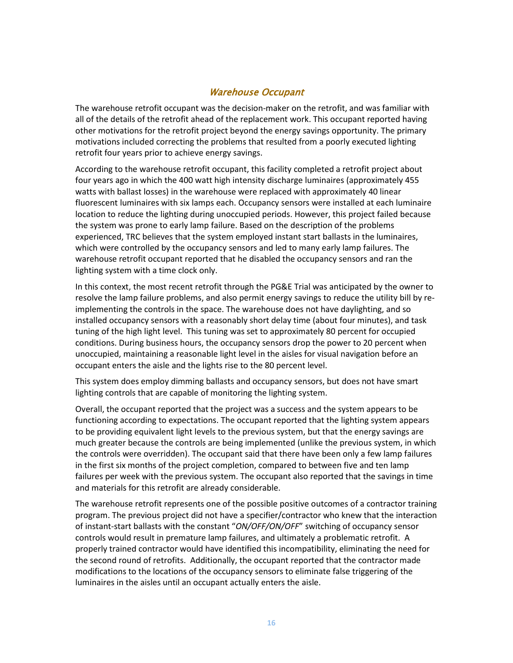### Warehouse Occupant

The warehouse retrofit occupant was the decision-maker on the retrofit, and was familiar with all of the details of the retrofit ahead of the replacement work. This occupant reported having other motivations for the retrofit project beyond the energy savings opportunity. The primary motivations included correcting the problems that resulted from a poorly executed lighting retrofit four years prior to achieve energy savings.

According to the warehouse retrofit occupant, this facility completed a retrofit project about four years ago in which the 400 watt high intensity discharge luminaires (approximately 455 watts with ballast losses) in the warehouse were replaced with approximately 40 linear fluorescent luminaires with six lamps each. Occupancy sensors were installed at each luminaire location to reduce the lighting during unoccupied periods. However, this project failed because the system was prone to early lamp failure. Based on the description of the problems experienced, TRC believes that the system employed instant start ballasts in the luminaires, which were controlled by the occupancy sensors and led to many early lamp failures. The warehouse retrofit occupant reported that he disabled the occupancy sensors and ran the lighting system with a time clock only.

In this context, the most recent retrofit through the PG&E Trial was anticipated by the owner to resolve the lamp failure problems, and also permit energy savings to reduce the utility bill by reimplementing the controls in the space. The warehouse does not have daylighting, and so installed occupancy sensors with a reasonably short delay time (about four minutes), and task tuning of the high light level. This tuning was set to approximately 80 percent for occupied conditions. During business hours, the occupancy sensors drop the power to 20 percent when unoccupied, maintaining a reasonable light level in the aisles for visual navigation before an occupant enters the aisle and the lights rise to the 80 percent level.

This system does employ dimming ballasts and occupancy sensors, but does not have smart lighting controls that are capable of monitoring the lighting system.

Overall, the occupant reported that the project was a success and the system appears to be functioning according to expectations. The occupant reported that the lighting system appears to be providing equivalent light levels to the previous system, but that the energy savings are much greater because the controls are being implemented (unlike the previous system, in which the controls were overridden). The occupant said that there have been only a few lamp failures in the first six months of the project completion, compared to between five and ten lamp failures per week with the previous system. The occupant also reported that the savings in time and materials for this retrofit are already considerable.

The warehouse retrofit represents one of the possible positive outcomes of a contractor training program. The previous project did not have a specifier/contractor who knew that the interaction of instant-start ballasts with the constant "*ON/OFF/ON/OFF*" switching of occupancy sensor controls would result in premature lamp failures, and ultimately a problematic retrofit. A properly trained contractor would have identified this incompatibility, eliminating the need for the second round of retrofits. Additionally, the occupant reported that the contractor made modifications to the locations of the occupancy sensors to eliminate false triggering of the luminaires in the aisles until an occupant actually enters the aisle.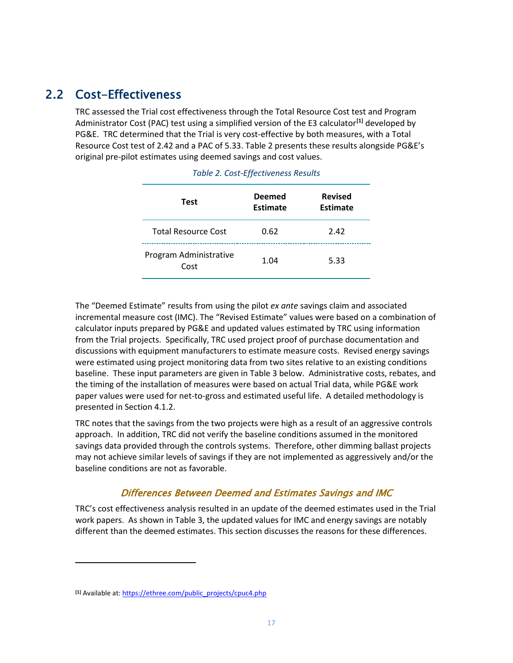# 2.2 Cost-Effectiveness

<span id="page-16-1"></span><span id="page-16-0"></span>TRC assessed the Trial cost effectiveness through the Total Resource Cost test and Program Administrator Cost (PAC) test using a simplified version of the E3 calculator**[\[1\]](#page-16-2)** developed by PG&E. TRC determined that the Trial is very cost-effective by both measures, with a Total Resource Cost test of 2.42 and a PAC of 5.33. [Table 2](#page-16-1) presents these results alongside PG&E's original pre-pilot estimates using deemed savings and cost values.

| Test                           | <b>Deemed</b><br><b>Estimate</b> | <b>Revised</b><br><b>Estimate</b> |
|--------------------------------|----------------------------------|-----------------------------------|
| <b>Total Resource Cost</b>     | 0.62                             | 2.42                              |
| Program Administrative<br>Cost | 1.04                             | 5.33                              |

|  |  | Table 2. Cost-Effectiveness Results |  |
|--|--|-------------------------------------|--|
|--|--|-------------------------------------|--|

The "Deemed Estimate" results from using the pilot *ex ante* savings claim and associated incremental measure cost (IMC). The "Revised Estimate" values were based on a combination of calculator inputs prepared by PG&E and updated values estimated by TRC using information from the Trial projects. Specifically, TRC used project proof of purchase documentation and discussions with equipment manufacturers to estimate measure costs. Revised energy savings were estimated using project monitoring data from two sites relative to an existing conditions baseline. These input parameters are given in [Table 3](#page-17-0) below. Administrative costs, rebates, and the timing of the installation of measures were based on actual Trial data, while PG&E work paper values were used for net-to-gross and estimated useful life. A detailed methodology is presented in Section [4.1.2.](#page-23-0)

TRC notes that the savings from the two projects were high as a result of an aggressive controls approach. In addition, TRC did not verify the baseline conditions assumed in the monitored savings data provided through the controls systems. Therefore, other dimming ballast projects may not achieve similar levels of savings if they are not implemented as aggressively and/or the baseline conditions are not as favorable.

### Differences Between Deemed and Estimates Savings and IMC

TRC's cost effectiveness analysis resulted in an update of the deemed estimates used in the Trial work papers. As shown in [Table 3,](#page-17-0) the updated values for IMC and energy savings are notably different than the deemed estimates. This section discusses the reasons for these differences.

 $\overline{\phantom{a}}$ 

<span id="page-16-2"></span>**<sup>[1]</sup>** Available at: [https://ethree.com/public\\_projects/cpuc4.php](https://urldefense.proofpoint.com/v2/url?u=https-3A__ethree.com_public-5Fprojects_cpuc4.php&d=AwQF3g&c=hLS_V_MyRCwXDjNCFvC1XhVzdhW2dOtrP9xQj43rEYI&r=wDwPCZJCbC4C62jhe1qQTw&m=KYpYb1fXkz_KMQZ4ZKbSturfxdnLkknrHggIZnVuk1w&s=5dTKvON9DrjDFvB9SZcOyAgRvWaTO9MTHl2Rj77GMds&e=)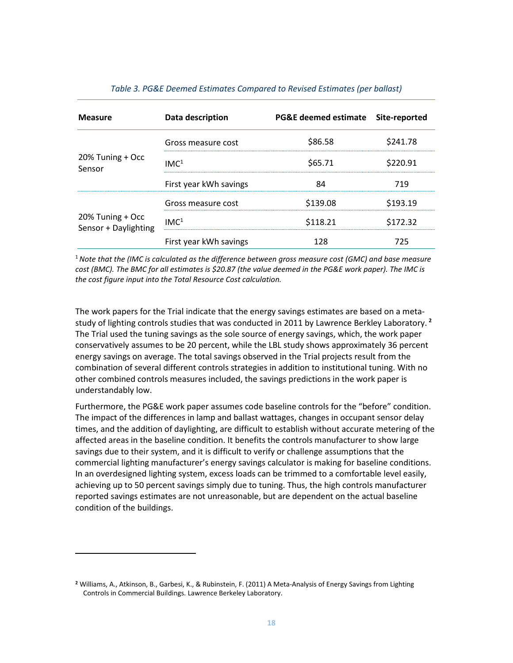<span id="page-17-0"></span>

| <b>Measure</b>                           | Data description       | PG&E deemed estimate Site-reported |          |
|------------------------------------------|------------------------|------------------------------------|----------|
|                                          | Gross measure cost     | \$86.58                            | \$241.78 |
| 20% Tuning + Occ<br>Sensor               | IMC <sup>1</sup>       | \$65.71                            | \$220.91 |
|                                          | First year kWh savings |                                    | 719      |
|                                          | Gross measure cost     | \$139.08                           | 93.19    |
| 20% Tuning + Occ<br>Sensor + Daylighting | IMC <sup>1</sup>       | \$118.21                           | 72.32    |
|                                          | First year kWh savings |                                    | 725      |

#### *Table 3. PG&E Deemed Estimates Compared to Revised Estimates (per ballast)*

<sup>1</sup>*Note that the (IMC is calculated as the difference between gross measure cost (GMC) and base measure cost (BMC). The BMC for all estimates is \$20.87 (the value deemed in the PG&E work paper). The IMC is the cost figure input into the Total Resource Cost calculation.*

The work papers for the Trial indicate that the energy savings estimates are based on a metastudy of lighting controls studies that was conducted in 2011 by Lawrence Berkley Laboratory. **[2](#page-17-1)** The Trial used the tuning savings as the sole source of energy savings, which, the work paper conservatively assumes to be 20 percent, while the LBL study shows approximately 36 percent energy savings on average. The total savings observed in the Trial projects result from the combination of several different controls strategies in addition to institutional tuning. With no other combined controls measures included, the savings predictions in the work paper is understandably low.

Furthermore, the PG&E work paper assumes code baseline controls for the "before" condition. The impact of the differences in lamp and ballast wattages, changes in occupant sensor delay times, and the addition of daylighting, are difficult to establish without accurate metering of the affected areas in the baseline condition. It benefits the controls manufacturer to show large savings due to their system, and it is difficult to verify or challenge assumptions that the commercial lighting manufacturer's energy savings calculator is making for baseline conditions. In an overdesigned lighting system, excess loads can be trimmed to a comfortable level easily, achieving up to 50 percent savings simply due to tuning. Thus, the high controls manufacturer reported savings estimates are not unreasonable, but are dependent on the actual baseline condition of the buildings.

l

<span id="page-17-1"></span>**<sup>2</sup>** Williams, A., Atkinson, B., Garbesi, K., & Rubinstein, F. (2011) A Meta-Analysis of Energy Savings from Lighting Controls in Commercial Buildings. Lawrence Berkeley Laboratory.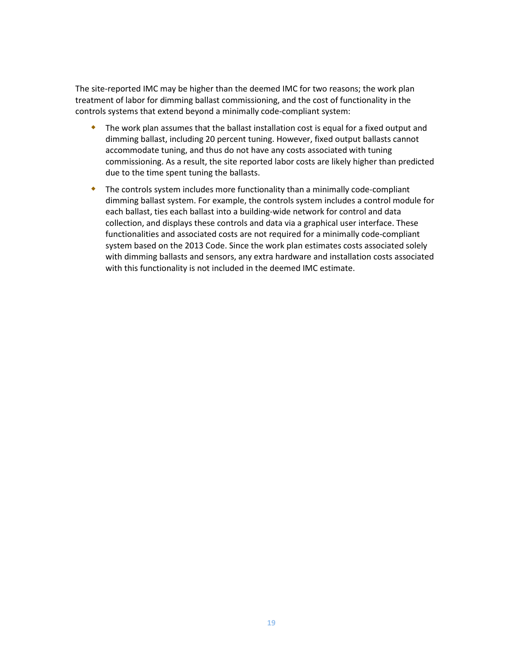The site-reported IMC may be higher than the deemed IMC for two reasons; the work plan treatment of labor for dimming ballast commissioning, and the cost of functionality in the controls systems that extend beyond a minimally code-compliant system:

- The work plan assumes that the ballast installation cost is equal for a fixed output and dimming ballast, including 20 percent tuning. However, fixed output ballasts cannot accommodate tuning, and thus do not have any costs associated with tuning commissioning. As a result, the site reported labor costs are likely higher than predicted due to the time spent tuning the ballasts.
- The controls system includes more functionality than a minimally code-compliant dimming ballast system. For example, the controls system includes a control module for each ballast, ties each ballast into a building-wide network for control and data collection, and displays these controls and data via a graphical user interface. These functionalities and associated costs are not required for a minimally code-compliant system based on the 2013 Code. Since the work plan estimates costs associated solely with dimming ballasts and sensors, any extra hardware and installation costs associated with this functionality is not included in the deemed IMC estimate.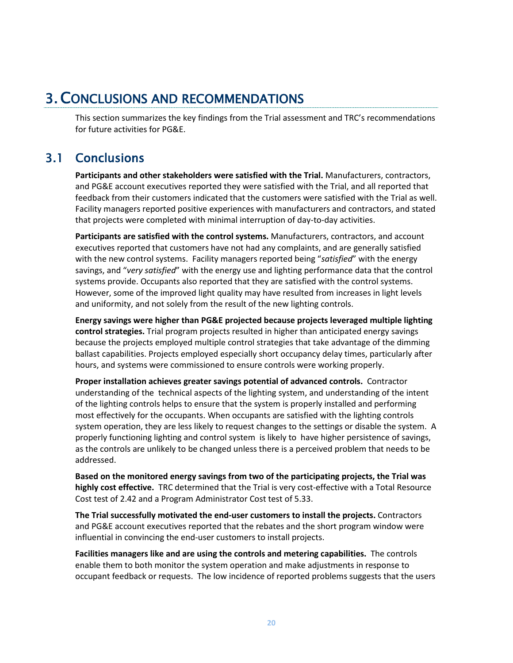# <span id="page-19-0"></span>3.CONCLUSIONS AND RECOMMENDATIONS

<span id="page-19-1"></span>This section summarizes the key findings from the Trial assessment and TRC's recommendations for future activities for PG&E.

# 3.1 Conclusions

**Participants and other stakeholders were satisfied with the Trial.** Manufacturers, contractors, and PG&E account executives reported they were satisfied with the Trial, and all reported that feedback from their customers indicated that the customers were satisfied with the Trial as well. Facility managers reported positive experiences with manufacturers and contractors, and stated that projects were completed with minimal interruption of day-to-day activities.

**Participants are satisfied with the control systems.** Manufacturers, contractors, and account executives reported that customers have not had any complaints, and are generally satisfied with the new control systems. Facility managers reported being "*satisfied*" with the energy savings, and "*very satisfied*" with the energy use and lighting performance data that the control systems provide. Occupants also reported that they are satisfied with the control systems. However, some of the improved light quality may have resulted from increases in light levels and uniformity, and not solely from the result of the new lighting controls.

**Energy savings were higher than PG&E projected because projects leveraged multiple lighting control strategies.** Trial program projects resulted in higher than anticipated energy savings because the projects employed multiple control strategies that take advantage of the dimming ballast capabilities. Projects employed especially short occupancy delay times, particularly after hours, and systems were commissioned to ensure controls were working properly.

**Proper installation achieves greater savings potential of advanced controls.** Contractor understanding of the technical aspects of the lighting system, and understanding of the intent of the lighting controls helps to ensure that the system is properly installed and performing most effectively for the occupants. When occupants are satisfied with the lighting controls system operation, they are less likely to request changes to the settings or disable the system. A properly functioning lighting and control system is likely to have higher persistence of savings, as the controls are unlikely to be changed unless there is a perceived problem that needs to be addressed.

**Based on the monitored energy savings from two of the participating projects, the Trial was highly cost effective.** TRC determined that the Trial is very cost-effective with a Total Resource Cost test of 2.42 and a Program Administrator Cost test of 5.33.

**The Trial successfully motivated the end-user customers to install the projects.** Contractors and PG&E account executives reported that the rebates and the short program window were influential in convincing the end-user customers to install projects.

**Facilities managers like and are using the controls and metering capabilities.** The controls enable them to both monitor the system operation and make adjustments in response to occupant feedback or requests. The low incidence of reported problems suggests that the users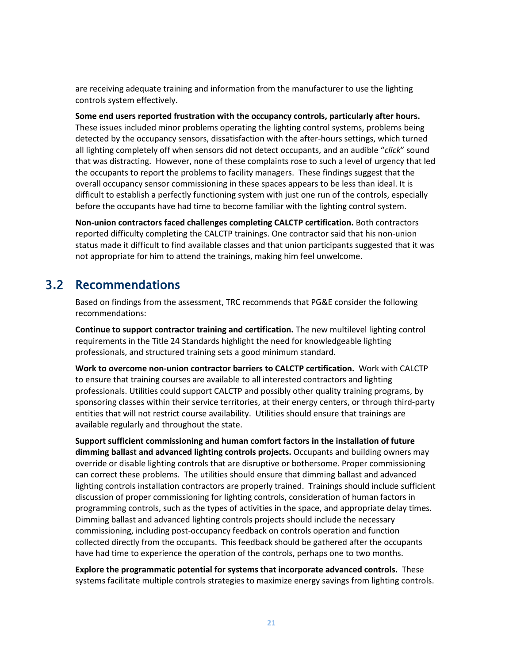are receiving adequate training and information from the manufacturer to use the lighting controls system effectively.

**Some end users reported frustration with the occupancy controls, particularly after hours.**  These issues included minor problems operating the lighting control systems, problems being detected by the occupancy sensors, dissatisfaction with the after-hours settings, which turned all lighting completely off when sensors did not detect occupants, and an audible "*click*" sound that was distracting. However, none of these complaints rose to such a level of urgency that led the occupants to report the problems to facility managers. These findings suggest that the overall occupancy sensor commissioning in these spaces appears to be less than ideal. It is difficult to establish a perfectly functioning system with just one run of the controls, especially before the occupants have had time to become familiar with the lighting control system.

**Non-union contractors faced challenges completing CALCTP certification.** Both contractors reported difficulty completing the CALCTP trainings. One contractor said that his non-union status made it difficult to find available classes and that union participants suggested that it was not appropriate for him to attend the trainings, making him feel unwelcome.

# 3.2 Recommendations

<span id="page-20-0"></span>Based on findings from the assessment, TRC recommends that PG&E consider the following recommendations:

**Continue to support contractor training and certification.** The new multilevel lighting control requirements in the Title 24 Standards highlight the need for knowledgeable lighting professionals, and structured training sets a good minimum standard.

**Work to overcome non-union contractor barriers to CALCTP certification.** Work with CALCTP to ensure that training courses are available to all interested contractors and lighting professionals. Utilities could support CALCTP and possibly other quality training programs, by sponsoring classes within their service territories, at their energy centers, or through third-party entities that will not restrict course availability. Utilities should ensure that trainings are available regularly and throughout the state.

**Support sufficient commissioning and human comfort factors in the installation of future dimming ballast and advanced lighting controls projects.** Occupants and building owners may override or disable lighting controls that are disruptive or bothersome. Proper commissioning can correct these problems. The utilities should ensure that dimming ballast and advanced lighting controls installation contractors are properly trained. Trainings should include sufficient discussion of proper commissioning for lighting controls, consideration of human factors in programming controls, such as the types of activities in the space, and appropriate delay times. Dimming ballast and advanced lighting controls projects should include the necessary commissioning, including post-occupancy feedback on controls operation and function collected directly from the occupants. This feedback should be gathered after the occupants have had time to experience the operation of the controls, perhaps one to two months.

**Explore the programmatic potential for systems that incorporate advanced controls.** These systems facilitate multiple controls strategies to maximize energy savings from lighting controls.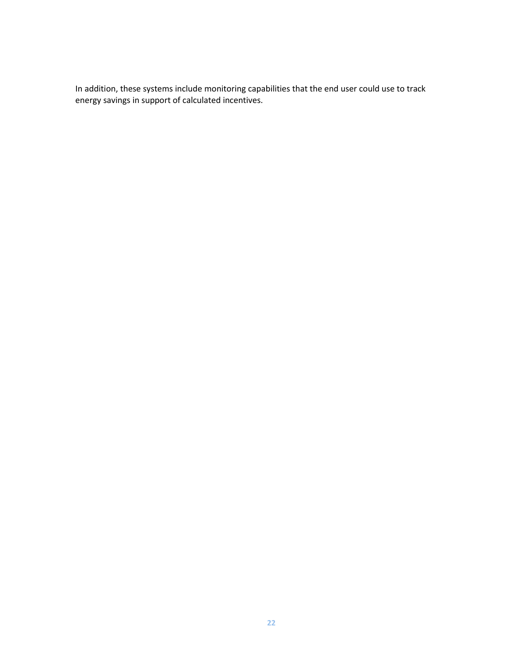In addition, these systems include monitoring capabilities that the end user could use to track energy savings in support of calculated incentives.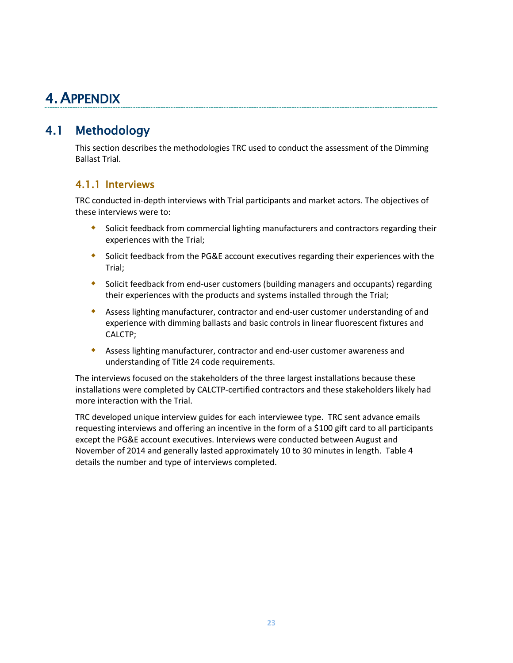# <span id="page-22-0"></span>4.APPENDIX

# <span id="page-22-1"></span>4.1 Methodology

This section describes the methodologies TRC used to conduct the assessment of the Dimming Ballast Trial.

# <span id="page-22-2"></span>4.1.1 Interviews

TRC conducted in-depth interviews with Trial participants and market actors. The objectives of these interviews were to:

- Solicit feedback from commercial lighting manufacturers and contractors regarding their experiences with the Trial;
- Solicit feedback from the PG&E account executives regarding their experiences with the Trial;
- Solicit feedback from end-user customers (building managers and occupants) regarding their experiences with the products and systems installed through the Trial;
- Assess lighting manufacturer, contractor and end-user customer understanding of and experience with dimming ballasts and basic controls in linear fluorescent fixtures and CALCTP;
- Assess lighting manufacturer, contractor and end-user customer awareness and understanding of Title 24 code requirements.

The interviews focused on the stakeholders of the three largest installations because these installations were completed by CALCTP-certified contractors and these stakeholders likely had more interaction with the Trial.

TRC developed unique interview guides for each interviewee type. TRC sent advance emails requesting interviews and offering an incentive in the form of a \$100 gift card to all participants except the PG&E account executives. Interviews were conducted between August and November of 2014 and generally lasted approximately 10 to 30 minutes in length. [Table 4](#page-23-1) details the number and type of interviews completed.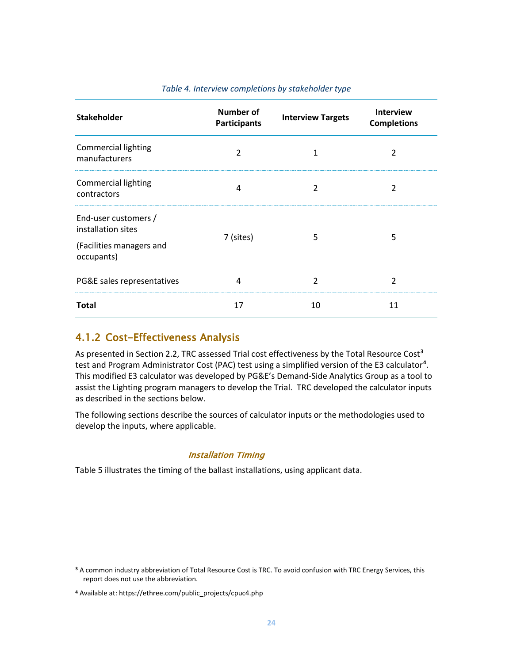<span id="page-23-1"></span>

| <b>Stakeholder</b>                          | Number of<br><b>Participants</b> | <b>Interview Targets</b> | Interview<br><b>Completions</b> |  |
|---------------------------------------------|----------------------------------|--------------------------|---------------------------------|--|
| <b>Commercial lighting</b><br>manufacturers | 2                                |                          | 2                               |  |
| <b>Commercial lighting</b><br>contractors   | 4                                |                          |                                 |  |
| End-user customers /<br>installation sites  | 7 (sites)                        | 5                        | 5                               |  |
| (Facilities managers and<br>occupants)      |                                  |                          |                                 |  |
| PG&E sales representatives                  | 4                                | 2                        | 2                               |  |
| <b>Total</b>                                | 17                               | 10                       | 11                              |  |

#### *Table 4. Interview completions by stakeholder type*

### <span id="page-23-0"></span>4.1.2 Cost-Effectiveness Analysis

As presented in Sectio[n 2.2,](#page-16-0) TRC assessed Trial cost effectiveness by the Total Resource Cost**[3](#page-23-2)** test and Program Administrator Cost (PAC) test using a simplified version of the E3 calculator**[4](#page-23-3)** . This modified E3 calculator was developed by PG&E's Demand-Side Analytics Group as a tool to assist the Lighting program managers to develop the Trial. TRC developed the calculator inputs as described in the sections below.

The following sections describe the sources of calculator inputs or the methodologies used to develop the inputs, where applicable.

#### Installation Timing

[Table 5](#page-24-0) illustrates the timing of the ballast installations, using applicant data.

 $\overline{\phantom{a}}$ 

<span id="page-23-2"></span>**<sup>3</sup>** A common industry abbreviation of Total Resource Cost is TRC. To avoid confusion with TRC Energy Services, this report does not use the abbreviation.

<span id="page-23-3"></span>**<sup>4</sup>** Available at: https://ethree.com/public\_projects/cpuc4.php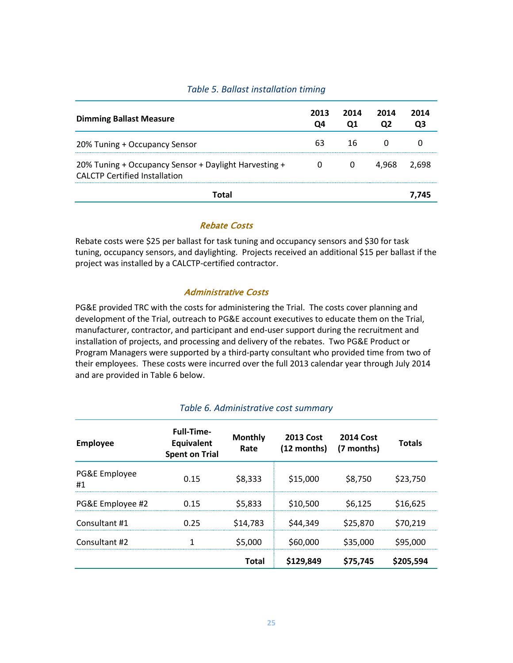### *Table 5. Ballast installation timing*

<span id="page-24-0"></span>

| <b>Dimming Ballast Measure</b>                                                                | 2013 | 2014 | 2014  | 2014 |
|-----------------------------------------------------------------------------------------------|------|------|-------|------|
| 20% Tuning + Occupancy Sensor                                                                 |      | 16   |       |      |
| 20% Tuning + Occupancy Sensor + Daylight Harvesting +<br><b>CALCTP Certified Installation</b> |      |      | 4.968 |      |
|                                                                                               |      |      |       |      |

#### Rebate Costs

Rebate costs were \$25 per ballast for task tuning and occupancy sensors and \$30 for task tuning, occupancy sensors, and daylighting. Projects received an additional \$15 per ballast if the project was installed by a CALCTP-certified contractor.

#### Administrative Costs

PG&E provided TRC with the costs for administering the Trial. The costs cover planning and development of the Trial, outreach to PG&E account executives to educate them on the Trial, manufacturer, contractor, and participant and end-user support during the recruitment and installation of projects, and processing and delivery of the rebates. Two PG&E Product or Program Managers were supported by a third-party consultant who provided time from two of their employees. These costs were incurred over the full 2013 calendar year through July 2014 and are provided i[n Table 6](#page-24-1) below.

<span id="page-24-1"></span>

| <b>Employee</b>     | <b>Full-Time-</b><br><b>Equivalent</b><br><b>Spent on Trial</b> | <b>Monthly</b><br>Rate | <b>2013 Cost</b><br>(12 months) | <b>2014 Cost</b><br>(7 months) | <b>Totals</b> |
|---------------------|-----------------------------------------------------------------|------------------------|---------------------------------|--------------------------------|---------------|
| PG&E Employee<br>#1 | 0.15                                                            | \$8,333                | \$15,000                        | \$8,750                        | \$23,750      |
| PG&E Employee #2    | 0.15                                                            | \$5,833                | \$10,500                        | S6.125                         | \$16,625      |
| Consultant #1       | 0.25                                                            | \$14,783               | \$44,349                        | \$25,870                       | \$70,219      |
| Consultant #2       |                                                                 | \$5,000                | \$60,000                        | \$35,000                       | \$95,000      |
|                     |                                                                 | <b>Total</b>           | \$129,849                       | \$75,745                       | \$205,594     |

#### *Table 6. Administrative cost summary*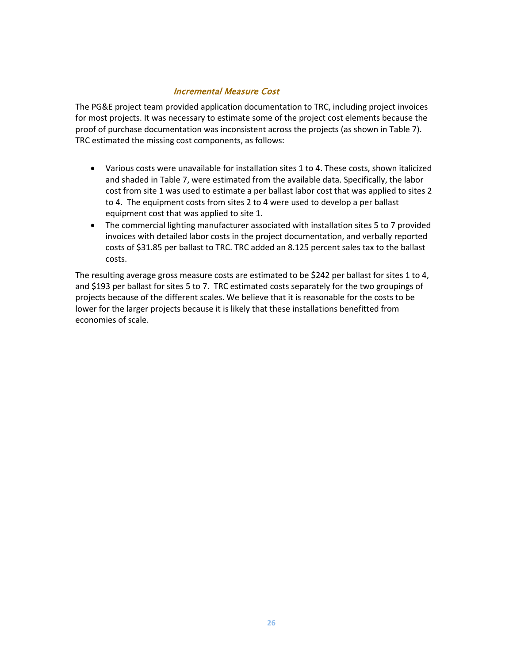### Incremental Measure Cost

The PG&E project team provided application documentation to TRC, including project invoices for most projects. It was necessary to estimate some of the project cost elements because the proof of purchase documentation was inconsistent across the projects (as shown in [Table 7\)](#page-26-0). TRC estimated the missing cost components, as follows:

- Various costs were unavailable for installation sites 1 to 4. These costs, shown italicized and shaded in [Table 7,](#page-26-0) were estimated from the available data. Specifically, the labor cost from site 1 was used to estimate a per ballast labor cost that was applied to sites 2 to 4. The equipment costs from sites 2 to 4 were used to develop a per ballast equipment cost that was applied to site 1.
- The commercial lighting manufacturer associated with installation sites 5 to 7 provided invoices with detailed labor costs in the project documentation, and verbally reported costs of \$31.85 per ballast to TRC. TRC added an 8.125 percent sales tax to the ballast costs.

The resulting average gross measure costs are estimated to be \$242 per ballast for sites 1 to 4, and \$193 per ballast for sites 5 to 7. TRC estimated costs separately for the two groupings of projects because of the different scales. We believe that it is reasonable for the costs to be lower for the larger projects because it is likely that these installations benefitted from economies of scale.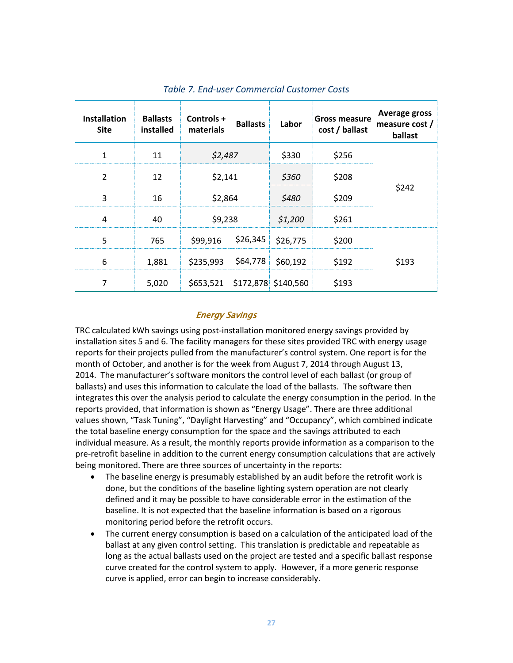<span id="page-26-0"></span>

| <b>Installation</b><br><b>Site</b> | <b>Ballasts</b><br>installed | Controls+<br>materials        | <b>Ballasts</b>     | Labor             | <b>Gross measure</b><br>cost / ballast | Average gross<br>measure cost /<br>ballast |
|------------------------------------|------------------------------|-------------------------------|---------------------|-------------------|----------------------------------------|--------------------------------------------|
| 1                                  | 11                           | \$2,487                       |                     | \$330             | \$256                                  |                                            |
| $\mathfrak{p}$                     | 12                           |                               | \$2,141             |                   | \$208                                  |                                            |
| 3                                  | 16                           | \$2,864                       |                     | \$480             | \$209                                  | \$242                                      |
| 4                                  | 40                           | \$9,238                       |                     | \$1,200           | \$261                                  |                                            |
| 5                                  | 765                          | \$99,916                      | \$26,345   \$26,775 |                   | \$200                                  |                                            |
| 6                                  | 1,881                        | \$235,993                     |                     | \$64,778 \$60,192 | \$192                                  | \$193                                      |
| 7                                  | 5,020                        | \$653,521 \$172,878 \$140,560 |                     |                   | \$193                                  |                                            |

#### *Table 7. End-user Commercial Customer Costs*

#### Energy Savings

TRC calculated kWh savings using post-installation monitored energy savings provided by installation sites 5 and 6. The facility managers for these sites provided TRC with energy usage reports for their projects pulled from the manufacturer's control system. One report is for the month of October, and another is for the week from August 7, 2014 through August 13, 2014. The manufacturer's software monitors the control level of each ballast (or group of ballasts) and uses this information to calculate the load of the ballasts. The software then integrates this over the analysis period to calculate the energy consumption in the period. In the reports provided, that information is shown as "Energy Usage". There are three additional values shown, "Task Tuning", "Daylight Harvesting" and "Occupancy", which combined indicate the total baseline energy consumption for the space and the savings attributed to each individual measure. As a result, the monthly reports provide information as a comparison to the pre-retrofit baseline in addition to the current energy consumption calculations that are actively being monitored. There are three sources of uncertainty in the reports:

- The baseline energy is presumably established by an audit before the retrofit work is done, but the conditions of the baseline lighting system operation are not clearly defined and it may be possible to have considerable error in the estimation of the baseline. It is not expected that the baseline information is based on a rigorous monitoring period before the retrofit occurs.
- The current energy consumption is based on a calculation of the anticipated load of the ballast at any given control setting. This translation is predictable and repeatable as long as the actual ballasts used on the project are tested and a specific ballast response curve created for the control system to apply. However, if a more generic response curve is applied, error can begin to increase considerably.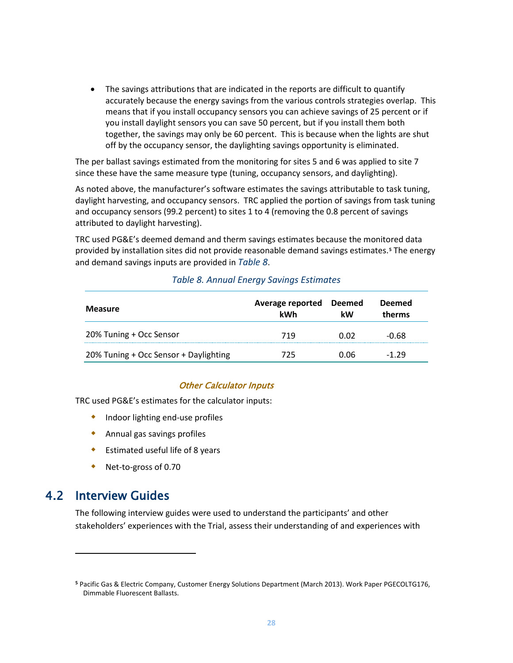• The savings attributions that are indicated in the reports are difficult to quantify accurately because the energy savings from the various controls strategies overlap. This means that if you install occupancy sensors you can achieve savings of 25 percent or if you install daylight sensors you can save 50 percent, but if you install them both together, the savings may only be 60 percent. This is because when the lights are shut off by the occupancy sensor, the daylighting savings opportunity is eliminated.

The per ballast savings estimated from the monitoring for sites 5 and 6 was applied to site 7 since these have the same measure type (tuning, occupancy sensors, and daylighting).

As noted above, the manufacturer's software estimates the savings attributable to task tuning, daylight harvesting, and occupancy sensors. TRC applied the portion of savings from task tuning and occupancy sensors (99.2 percent) to sites 1 to 4 (removing the 0.8 percent of savings attributed to daylight harvesting).

TRC used PG&E's deemed demand and therm savings estimates because the monitored data provided by installation sites did not provide reasonable demand savings estimates.**[5](#page-27-2)** The energy and demand savings inputs are provided in *[Table 8](#page-27-1)*.

<span id="page-27-1"></span>

| <b>Measure</b>                        | Average reported<br>kWh | Deemed<br>kW | <b>Deemed</b><br>therms |
|---------------------------------------|-------------------------|--------------|-------------------------|
| 20% Tuning + Occ Sensor               | 719                     | N 02         | -0.68                   |
| 20% Tuning + Occ Sensor + Daylighting | 775                     | 0.06         | -1 79                   |

#### *Table 8. Annual Energy Savings Estimates*

#### Other Calculator Inputs

TRC used PG&E's estimates for the calculator inputs:

- **•** Indoor lighting end-use profiles
- Annual gas savings profiles
- Estimated useful life of 8 years
- <span id="page-27-0"></span>Net-to-gross of 0.70

# 4.2 Interview Guides

l

The following interview guides were used to understand the participants' and other stakeholders' experiences with the Trial, assess their understanding of and experiences with

<span id="page-27-2"></span>**<sup>5</sup>** Pacific Gas & Electric Company, Customer Energy Solutions Department (March 2013). Work Paper PGECOLTG176, Dimmable Fluorescent Ballasts.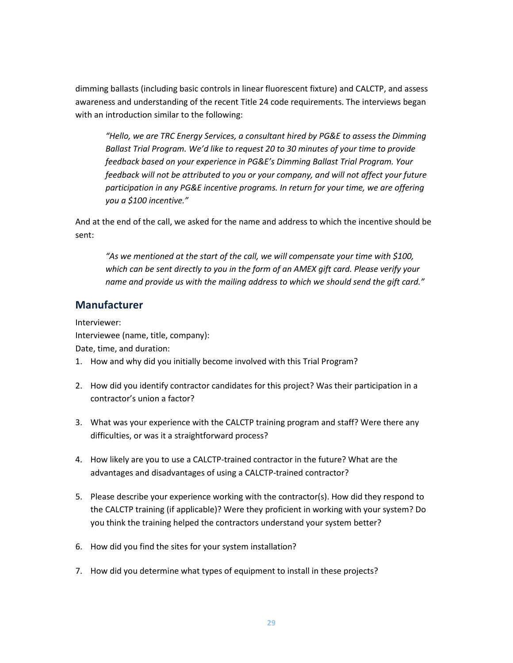dimming ballasts (including basic controls in linear fluorescent fixture) and CALCTP, and assess awareness and understanding of the recent Title 24 code requirements. The interviews began with an introduction similar to the following:

*"Hello, we are TRC Energy Services, a consultant hired by PG&E to assess the Dimming Ballast Trial Program. We'd like to request 20 to 30 minutes of your time to provide feedback based on your experience in PG&E's Dimming Ballast Trial Program. Your feedback will not be attributed to you or your company, and will not affect your future participation in any PG&E incentive programs. In return for your time, we are offering you a \$100 incentive."*

And at the end of the call, we asked for the name and address to which the incentive should be sent:

*"As we mentioned at the start of the call, we will compensate your time with \$100, which can be sent directly to you in the form of an AMEX gift card. Please verify your name and provide us with the mailing address to which we should send the gift card."*

### **Manufacturer**

Interviewer: Interviewee (name, title, company): Date, time, and duration:

- 1. How and why did you initially become involved with this Trial Program?
- 2. How did you identify contractor candidates for this project? Was their participation in a contractor's union a factor?
- 3. What was your experience with the CALCTP training program and staff? Were there any difficulties, or was it a straightforward process?
- 4. How likely are you to use a CALCTP-trained contractor in the future? What are the advantages and disadvantages of using a CALCTP-trained contractor?
- 5. Please describe your experience working with the contractor(s). How did they respond to the CALCTP training (if applicable)? Were they proficient in working with your system? Do you think the training helped the contractors understand your system better?
- 6. How did you find the sites for your system installation?
- 7. How did you determine what types of equipment to install in these projects?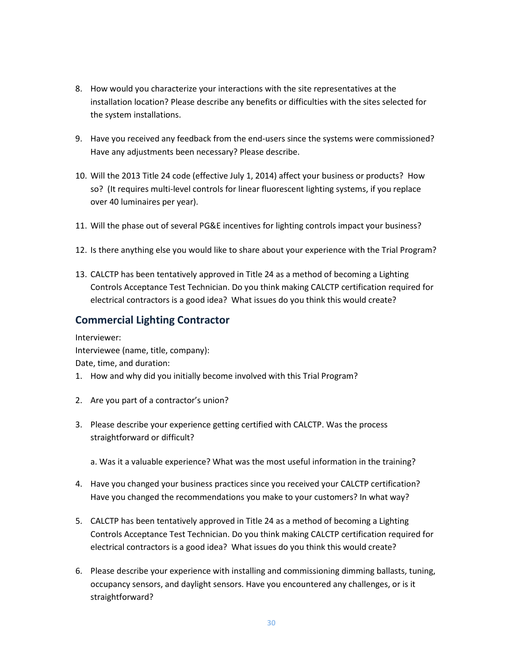- 8. How would you characterize your interactions with the site representatives at the installation location? Please describe any benefits or difficulties with the sites selected for the system installations.
- 9. Have you received any feedback from the end-users since the systems were commissioned? Have any adjustments been necessary? Please describe.
- 10. Will the 2013 Title 24 code (effective July 1, 2014) affect your business or products? How so? (It requires multi-level controls for linear fluorescent lighting systems, if you replace over 40 luminaires per year).
- 11. Will the phase out of several PG&E incentives for lighting controls impact your business?
- 12. Is there anything else you would like to share about your experience with the Trial Program?
- 13. CALCTP has been tentatively approved in Title 24 as a method of becoming a Lighting Controls Acceptance Test Technician. Do you think making CALCTP certification required for electrical contractors is a good idea? What issues do you think this would create?

# **Commercial Lighting Contractor**

Interviewer: Interviewee (name, title, company): Date, time, and duration:

- 1. How and why did you initially become involved with this Trial Program?
- 2. Are you part of a contractor's union?
- 3. Please describe your experience getting certified with CALCTP. Was the process straightforward or difficult?
	- a. Was it a valuable experience? What was the most useful information in the training?
- 4. Have you changed your business practices since you received your CALCTP certification? Have you changed the recommendations you make to your customers? In what way?
- 5. CALCTP has been tentatively approved in Title 24 as a method of becoming a Lighting Controls Acceptance Test Technician. Do you think making CALCTP certification required for electrical contractors is a good idea? What issues do you think this would create?
- 6. Please describe your experience with installing and commissioning dimming ballasts, tuning, occupancy sensors, and daylight sensors. Have you encountered any challenges, or is it straightforward?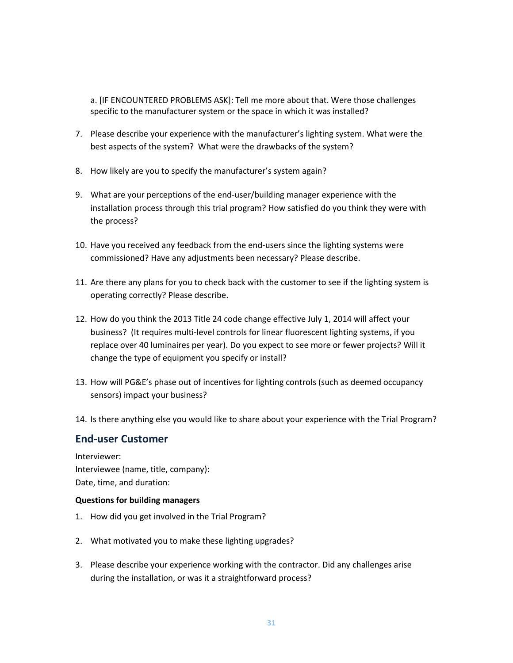a. [IF ENCOUNTERED PROBLEMS ASK]: Tell me more about that. Were those challenges specific to the manufacturer system or the space in which it was installed?

- 7. Please describe your experience with the manufacturer's lighting system. What were the best aspects of the system? What were the drawbacks of the system?
- 8. How likely are you to specify the manufacturer's system again?
- 9. What are your perceptions of the end-user/building manager experience with the installation process through this trial program? How satisfied do you think they were with the process?
- 10. Have you received any feedback from the end-users since the lighting systems were commissioned? Have any adjustments been necessary? Please describe.
- 11. Are there any plans for you to check back with the customer to see if the lighting system is operating correctly? Please describe.
- 12. How do you think the 2013 Title 24 code change effective July 1, 2014 will affect your business? (It requires multi-level controls for linear fluorescent lighting systems, if you replace over 40 luminaires per year). Do you expect to see more or fewer projects? Will it change the type of equipment you specify or install?
- 13. How will PG&E's phase out of incentives for lighting controls (such as deemed occupancy sensors) impact your business?
- 14. Is there anything else you would like to share about your experience with the Trial Program?

### **End-user Customer**

Interviewer: Interviewee (name, title, company): Date, time, and duration:

#### **Questions for building managers**

- 1. How did you get involved in the Trial Program?
- 2. What motivated you to make these lighting upgrades?
- 3. Please describe your experience working with the contractor. Did any challenges arise during the installation, or was it a straightforward process?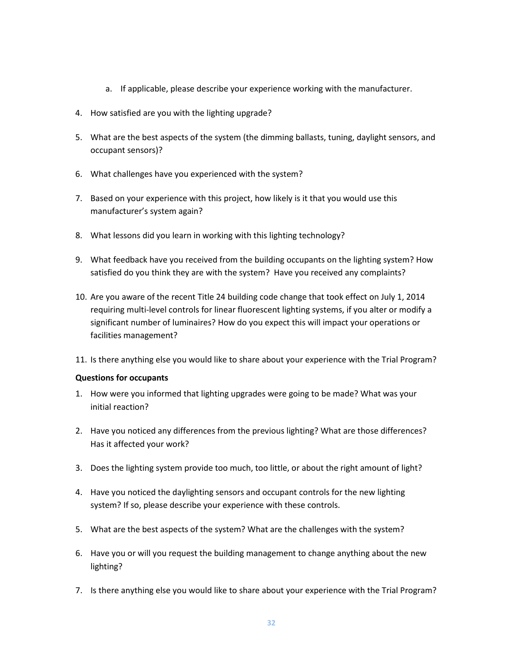- a. If applicable, please describe your experience working with the manufacturer.
- 4. How satisfied are you with the lighting upgrade?
- 5. What are the best aspects of the system (the dimming ballasts, tuning, daylight sensors, and occupant sensors)?
- 6. What challenges have you experienced with the system?
- 7. Based on your experience with this project, how likely is it that you would use this manufacturer's system again?
- 8. What lessons did you learn in working with this lighting technology?
- 9. What feedback have you received from the building occupants on the lighting system? How satisfied do you think they are with the system? Have you received any complaints?
- 10. Are you aware of the recent Title 24 building code change that took effect on July 1, 2014 requiring multi-level controls for linear fluorescent lighting systems, if you alter or modify a significant number of luminaires? How do you expect this will impact your operations or facilities management?
- 11. Is there anything else you would like to share about your experience with the Trial Program?

#### **Questions for occupants**

- 1. How were you informed that lighting upgrades were going to be made? What was your initial reaction?
- 2. Have you noticed any differences from the previous lighting? What are those differences? Has it affected your work?
- 3. Does the lighting system provide too much, too little, or about the right amount of light?
- 4. Have you noticed the daylighting sensors and occupant controls for the new lighting system? If so, please describe your experience with these controls.
- 5. What are the best aspects of the system? What are the challenges with the system?
- 6. Have you or will you request the building management to change anything about the new lighting?
- 7. Is there anything else you would like to share about your experience with the Trial Program?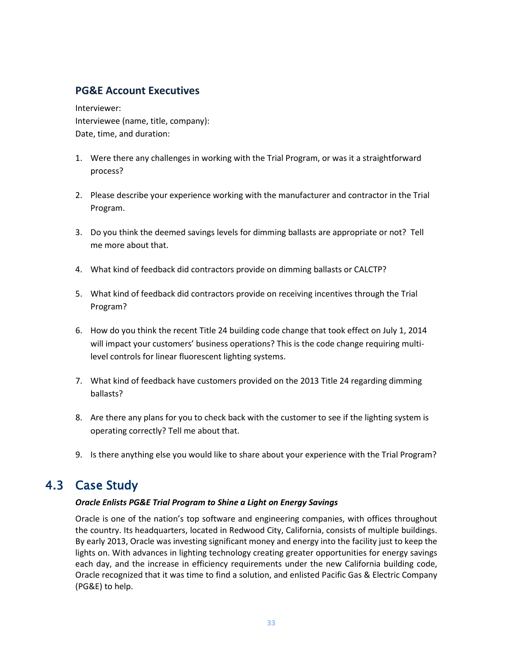# **PG&E Account Executives**

Interviewer: Interviewee (name, title, company): Date, time, and duration:

- 1. Were there any challenges in working with the Trial Program, or was it a straightforward process?
- 2. Please describe your experience working with the manufacturer and contractor in the Trial Program.
- 3. Do you think the deemed savings levels for dimming ballasts are appropriate or not? Tell me more about that.
- 4. What kind of feedback did contractors provide on dimming ballasts or CALCTP?
- 5. What kind of feedback did contractors provide on receiving incentives through the Trial Program?
- 6. How do you think the recent Title 24 building code change that took effect on July 1, 2014 will impact your customers' business operations? This is the code change requiring multilevel controls for linear fluorescent lighting systems.
- 7. What kind of feedback have customers provided on the 2013 Title 24 regarding dimming ballasts?
- 8. Are there any plans for you to check back with the customer to see if the lighting system is operating correctly? Tell me about that.
- <span id="page-32-0"></span>9. Is there anything else you would like to share about your experience with the Trial Program?

# 4.3 Case Study

#### *Oracle Enlists PG&E Trial Program to Shine a Light on Energy Savings*

Oracle is one of the nation's top software and engineering companies, with offices throughout the country. Its headquarters, located in Redwood City, California, consists of multiple buildings. By early 2013, Oracle was investing significant money and energy into the facility just to keep the lights on. With advances in lighting technology creating greater opportunities for energy savings each day, and the increase in efficiency requirements under the new California building code, Oracle recognized that it was time to find a solution, and enlisted Pacific Gas & Electric Company (PG&E) to help.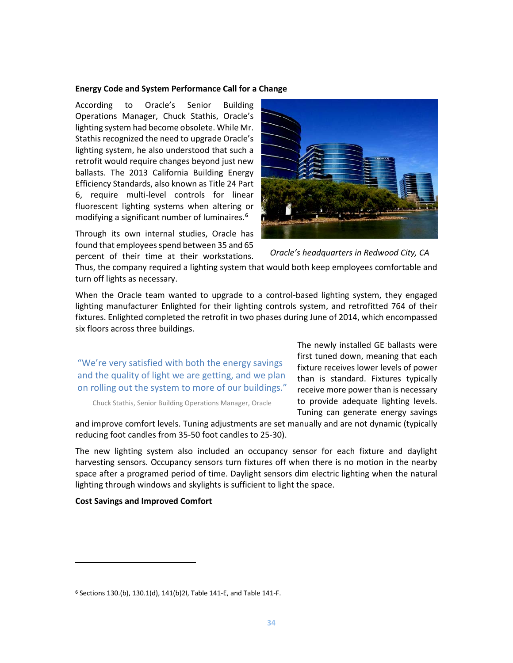#### **Energy Code and System Performance Call for a Change**

According to Oracle's Senior Building Operations Manager, Chuck Stathis, Oracle's lighting system had become obsolete. While Mr. Stathis recognized the need to upgrade Oracle's lighting system, he also understood that such a retrofit would require changes beyond just new ballasts. The 2013 California Building Energy Efficiency Standards, also known as Title 24 Part 6, require multi-level controls for linear fluorescent lighting systems when altering or modifying a significant number of luminaires.**[6](#page-33-0)**

Through its own internal studies, Oracle has found that employees spend between 35 and 65 percent of their time at their workstations.



*Oracle's headquarters in Redwood City, CA*

Thus, the company required a lighting system that would both keep employees comfortable and turn off lights as necessary.

When the Oracle team wanted to upgrade to a control-based lighting system, they engaged lighting manufacturer Enlighted for their lighting controls system, and retrofitted 764 of their fixtures. Enlighted completed the retrofit in two phases during June of 2014, which encompassed six floors across three buildings.

"We're very satisfied with both the energy savings and the quality of light we are getting, and we plan on rolling out the system to more of our buildings."

Chuck Stathis, Senior Building Operations Manager, Oracle

The newly installed GE ballasts were first tuned down, meaning that each fixture receives lower levels of power than is standard. Fixtures typically receive more power than is necessary to provide adequate lighting levels. Tuning can generate energy savings

and improve comfort levels. Tuning adjustments are set manually and are not dynamic (typically reducing foot candles from 35-50 foot candles to 25-30).

The new lighting system also included an occupancy sensor for each fixture and daylight harvesting sensors. Occupancy sensors turn fixtures off when there is no motion in the nearby space after a programed period of time. Daylight sensors dim electric lighting when the natural lighting through windows and skylights is sufficient to light the space.

#### **Cost Savings and Improved Comfort**

 $\overline{\phantom{a}}$ 

<span id="page-33-0"></span>**<sup>6</sup>** Sections 130.(b), 130.1(d), 141(b)2I, Table 141-E, and Table 141-F.